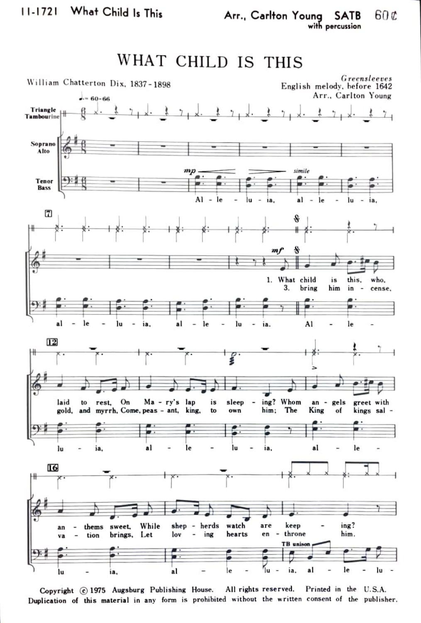

Copyright  $\odot$  1975 Augsburg Publishing House. All rights reserved. Printed in the U.S.A. Duplication of this material in any form is prohibited without the written consent of the publisher.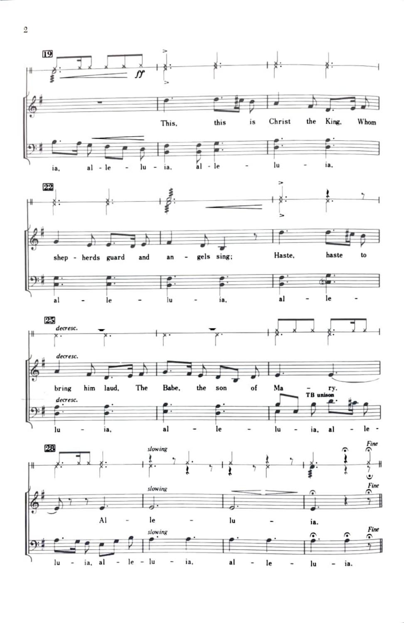

 $\,2$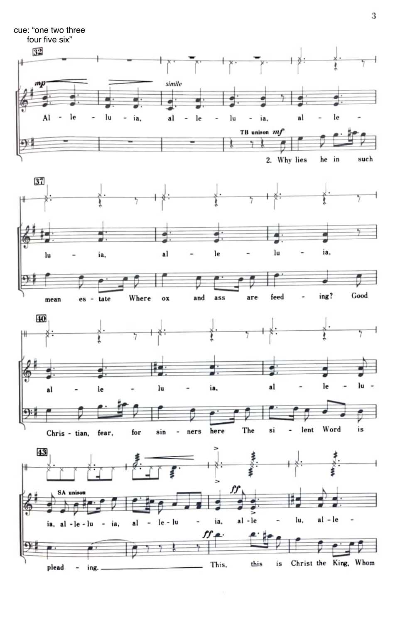

 $\tau_{\rm f}$ 

3